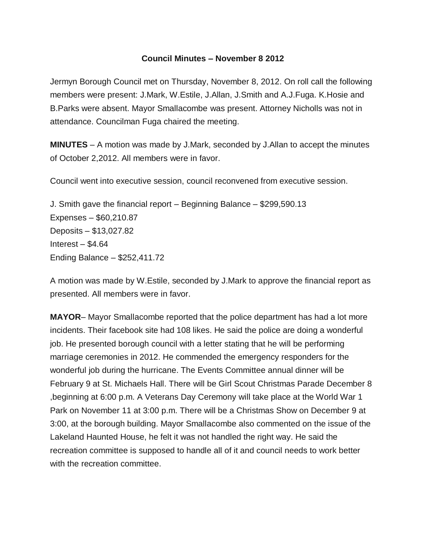## **Council Minutes – November 8 2012**

Jermyn Borough Council met on Thursday, November 8, 2012. On roll call the following members were present: J.Mark, W.Estile, J.Allan, J.Smith and A.J.Fuga. K.Hosie and B.Parks were absent. Mayor Smallacombe was present. Attorney Nicholls was not in attendance. Councilman Fuga chaired the meeting.

**MINUTES** – A motion was made by J.Mark, seconded by J.Allan to accept the minutes of October 2,2012. All members were in favor.

Council went into executive session, council reconvened from executive session.

J. Smith gave the financial report – Beginning Balance – \$299,590.13 Expenses – \$60,210.87 Deposits – \$13,027.82 Interest  $-$  \$4.64 Ending Balance – \$252,411.72

A motion was made by W.Estile, seconded by J.Mark to approve the financial report as presented. All members were in favor.

**MAYOR**– Mayor Smallacombe reported that the police department has had a lot more incidents. Their facebook site had 108 likes. He said the police are doing a wonderful job. He presented borough council with a letter stating that he will be performing marriage ceremonies in 2012. He commended the emergency responders for the wonderful job during the hurricane. The Events Committee annual dinner will be February 9 at St. Michaels Hall. There will be Girl Scout Christmas Parade December 8 ,beginning at 6:00 p.m. A Veterans Day Ceremony will take place at the World War 1 Park on November 11 at 3:00 p.m. There will be a Christmas Show on December 9 at 3:00, at the borough building. Mayor Smallacombe also commented on the issue of the Lakeland Haunted House, he felt it was not handled the right way. He said the recreation committee is supposed to handle all of it and council needs to work better with the recreation committee.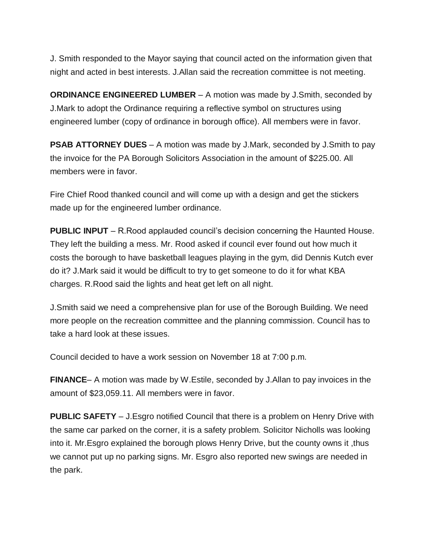J. Smith responded to the Mayor saying that council acted on the information given that night and acted in best interests. J.Allan said the recreation committee is not meeting.

**ORDINANCE ENGINEERED LUMBER** – A motion was made by J.Smith, seconded by J.Mark to adopt the Ordinance requiring a reflective symbol on structures using engineered lumber (copy of ordinance in borough office). All members were in favor.

**PSAB ATTORNEY DUES** – A motion was made by J.Mark, seconded by J.Smith to pay the invoice for the PA Borough Solicitors Association in the amount of \$225.00. All members were in favor.

Fire Chief Rood thanked council and will come up with a design and get the stickers made up for the engineered lumber ordinance.

**PUBLIC INPUT** – R. Rood applauded council's decision concerning the Haunted House. They left the building a mess. Mr. Rood asked if council ever found out how much it costs the borough to have basketball leagues playing in the gym, did Dennis Kutch ever do it? J.Mark said it would be difficult to try to get someone to do it for what KBA charges. R.Rood said the lights and heat get left on all night.

J.Smith said we need a comprehensive plan for use of the Borough Building. We need more people on the recreation committee and the planning commission. Council has to take a hard look at these issues.

Council decided to have a work session on November 18 at 7:00 p.m.

**FINANCE**– A motion was made by W.Estile, seconded by J.Allan to pay invoices in the amount of \$23,059.11. All members were in favor.

**PUBLIC SAFETY** – J.Esgro notified Council that there is a problem on Henry Drive with the same car parked on the corner, it is a safety problem. Solicitor Nicholls was looking into it. Mr.Esgro explained the borough plows Henry Drive, but the county owns it ,thus we cannot put up no parking signs. Mr. Esgro also reported new swings are needed in the park.